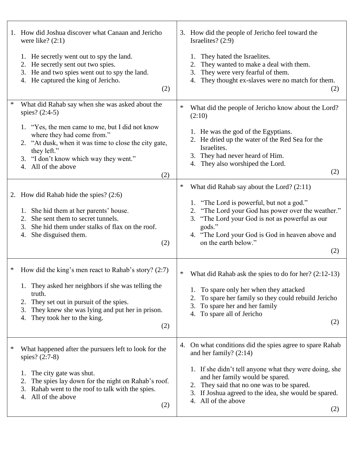|   | 1. How did Joshua discover what Canaan and Jericho<br>were like? $(2:1)$                                                                                                                                                                                                 |   | 3. How did the people of Jericho feel toward the<br>Israelites? (2:9)                                                                                                                                                                              |
|---|--------------------------------------------------------------------------------------------------------------------------------------------------------------------------------------------------------------------------------------------------------------------------|---|----------------------------------------------------------------------------------------------------------------------------------------------------------------------------------------------------------------------------------------------------|
|   | 1. He secretly went out to spy the land.<br>2. He secretly sent out two spies.<br>3. He and two spies went out to spy the land.<br>4. He captured the king of Jericho.<br>(2)                                                                                            |   | They hated the Israelites.<br>They wanted to make a deal with them.<br>They were very fearful of them.<br>3.<br>4. They thought ex-slaves were no match for them.<br>(2)                                                                           |
| ∗ | What did Rahab say when she was asked about the<br>spies? (2:4-5)                                                                                                                                                                                                        | ∗ | What did the people of Jericho know about the Lord?<br>(2:10)                                                                                                                                                                                      |
|   | 1. "Yes, the men came to me, but I did not know<br>where they had come from."<br>2. "At dusk, when it was time to close the city gate,<br>they left."<br>3. "I don't know which way they went."<br>4. All of the above<br>(2)                                            |   | 1. He was the god of the Egyptians.<br>2. He dried up the water of the Red Sea for the<br>Israelites.<br>3. They had never heard of Him.<br>4. They also worshiped the Lord.<br>(2)                                                                |
|   |                                                                                                                                                                                                                                                                          | ∗ | What did Rahab say about the Lord? $(2:11)$                                                                                                                                                                                                        |
|   | 2. How did Rahab hide the spies? (2:6)<br>1. She hid them at her parents' house.<br>She sent them to secret tunnels.<br>2.<br>She hid them under stalks of flax on the roof.<br>3.<br>She disguised them.<br>4.<br>(2)                                                   |   | 1. "The Lord is powerful, but not a god."<br>"The Lord your God has power over the weather."<br>2.<br>3. "The Lord your God is not as powerful as our<br>gods."<br>4. "The Lord your God is God in heaven above and<br>on the earth below."<br>(2) |
| ∗ | How did the king's men react to Rahab's story? $(2:7)$<br>1. They asked her neighbors if she was telling the<br>truth.<br>They set out in pursuit of the spies.<br>2.<br>They knew she was lying and put her in prison.<br>3.<br>They took her to the king.<br>4.<br>(2) | ∗ | What did Rahab ask the spies to do for her? $(2:12-13)$<br>To spare only her when they attacked<br>To spare her family so they could rebuild Jericho<br>2.<br>To spare her and her family<br>3.<br>To spare all of Jericho<br>4.<br>(2)            |
| ∗ | What happened after the pursuers left to look for the<br>spies? (2:7-8)                                                                                                                                                                                                  |   | 4. On what conditions did the spies agree to spare Rahab<br>and her family? $(2:14)$                                                                                                                                                               |
|   | The city gate was shut.<br>1.<br>The spies lay down for the night on Rahab's roof.<br>2.<br>Rahab went to the roof to talk with the spies.<br>3.<br>All of the above<br>4.<br>(2)                                                                                        |   | 1. If she didn't tell anyone what they were doing, she<br>and her family would be spared.<br>They said that no one was to be spared.<br>2.<br>If Joshua agreed to the idea, she would be spared.<br>3.<br>All of the above<br>4.<br>(2)            |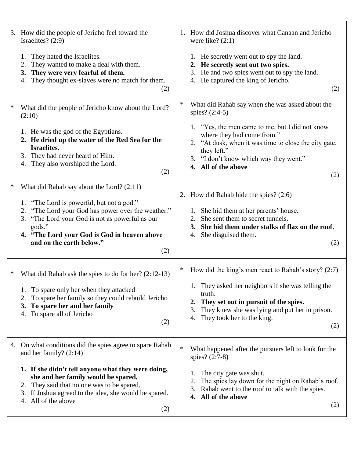|        | 3. How did the people of Jericho feel toward the<br>Israelites? (2:9)                                                                                                                                                                                                                                           | 1. How did Joshua discover what Canaan and Jericho<br>were like? $(2:1)$                                                                                                                                                                                                 |
|--------|-----------------------------------------------------------------------------------------------------------------------------------------------------------------------------------------------------------------------------------------------------------------------------------------------------------------|--------------------------------------------------------------------------------------------------------------------------------------------------------------------------------------------------------------------------------------------------------------------------|
|        | They hated the Israelites.<br>1.<br>They wanted to make a deal with them.<br>2.<br>3. They were very fearful of them.<br>They thought ex-slaves were no match for them.<br>4.<br>(2)                                                                                                                            | 1. He secretly went out to spy the land.<br>2. He secretly sent out two spies.<br>He and two spies went out to spy the land.<br>3.<br>4. He captured the king of Jericho.<br>(2)                                                                                         |
| $\ast$ | What did the people of Jericho know about the Lord?<br>(2:10)                                                                                                                                                                                                                                                   | $\ast$<br>What did Rahab say when she was asked about the<br>spies? (2:4-5)                                                                                                                                                                                              |
|        | 1. He was the god of the Egyptians.<br>2. He dried up the water of the Red Sea for the<br>Israelites.<br>3. They had never heard of Him.<br>4. They also worshiped the Lord.<br>(2)                                                                                                                             | 1. "Yes, the men came to me, but I did not know<br>where they had come from."<br>2. "At dusk, when it was time to close the city gate,<br>they left."<br>3. "I don't know which way they went."<br>4. All of the above<br>(2)                                            |
| ∗      | What did Rahab say about the Lord? (2:11)<br>1. "The Lord is powerful, but not a god."<br>2. "The Lord your God has power over the weather."<br>3. "The Lord your God is not as powerful as our<br>gods."<br>4. "The Lord your God is God in heaven above<br>and on the earth below."<br>(2)                    | How did Rahab hide the spies? $(2:6)$<br>2.<br>1. She hid them at her parents' house.<br>She sent them to secret tunnels.<br>2.<br>She hid them under stalks of flax on the roof.<br>3.<br>She disguised them.<br>4.<br>(2)                                              |
| ∗      | What did Rahab ask the spies to do for her? $(2:12-13)$<br>To spare only her when they attacked<br>To spare her family so they could rebuild Jericho<br>2.<br>To spare her and her family<br>3.<br>To spare all of Jericho<br>4.<br>(2)                                                                         | How did the king's men react to Rahab's story? $(2:7)$<br>1. They asked her neighbors if she was telling the<br>truth.<br>They set out in pursuit of the spies.<br>2.<br>They knew she was lying and put her in prison.<br>3.<br>They took her to the king.<br>4.<br>(2) |
|        | 4. On what conditions did the spies agree to spare Rahab<br>and her family? $(2:14)$<br>1. If she didn't tell anyone what they were doing,<br>she and her family would be spared.<br>2. They said that no one was to be spared.<br>3. If Joshua agreed to the idea, she would be spared.<br>4. All of the above | $\ast$<br>What happened after the pursuers left to look for the<br>spies? $(2:7-8)$<br>The city gate was shut.<br>1.<br>The spies lay down for the night on Rahab's roof.<br>2.<br>Rahab went to the roof to talk with the spies.<br>3.<br>All of the above<br>4.        |
|        | (2)                                                                                                                                                                                                                                                                                                             | (2)                                                                                                                                                                                                                                                                      |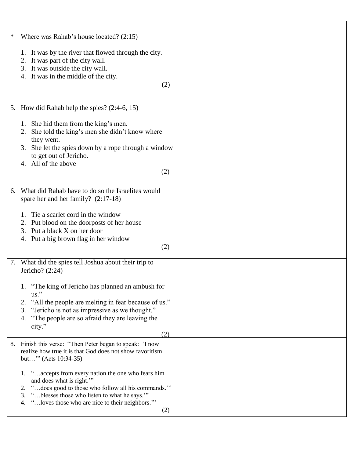| ∗  | Where was Rahab's house located? $(2:15)$<br>1. It was by the river that flowed through the city.<br>2. It was part of the city wall.<br>3. It was outside the city wall.<br>4. It was in the middle of the city.<br>(2)                                                                                                                                                                                    |  |
|----|-------------------------------------------------------------------------------------------------------------------------------------------------------------------------------------------------------------------------------------------------------------------------------------------------------------------------------------------------------------------------------------------------------------|--|
|    | 5. How did Rahab help the spies? (2:4-6, 15)<br>1. She hid them from the king's men.<br>She told the king's men she didn't know where<br>2.<br>they went.<br>3. She let the spies down by a rope through a window<br>to get out of Jericho.<br>4. All of the above<br>(2)                                                                                                                                   |  |
| 6. | What did Rahab have to do so the Israelites would<br>spare her and her family? $(2:17-18)$<br>Tie a scarlet cord in the window<br>Put blood on the doorposts of her house<br>2.<br>3. Put a black X on her door<br>4. Put a big brown flag in her window<br>(2)                                                                                                                                             |  |
| 7. | What did the spies tell Joshua about their trip to<br>Jericho? $(2:24)$<br>1. "The king of Jericho has planned an ambush for<br>$us.$ "<br>"All the people are melting in fear because of us."<br>2.<br>"Jericho is not as impressive as we thought."<br>3.<br>"The people are so afraid they are leaving the<br>4.<br>city."<br>(2)                                                                        |  |
| 8. | Finish this verse: "Then Peter began to speak: 'I now<br>realize how true it is that God does not show favoritism<br>but"" (Acts 10:34-35)<br>1. "accepts from every nation the one who fears him<br>and does what is right."<br>2. "does good to those who follow all his commands."<br>"blesses those who listen to what he says.""<br>3.<br>" loves those who are nice to their neighbors."<br>4.<br>(2) |  |